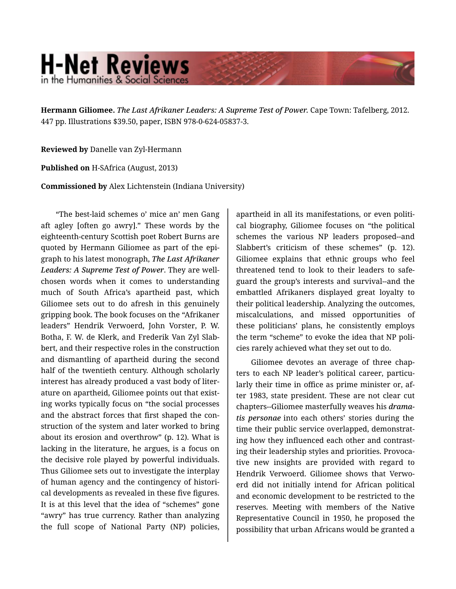## **H-Net Reviews** in the Humanities & Social Scienc

**Hermann Giliomee.** *The Last Afrikaner Leaders: A Supreme Test of Power.* Cape Town: Tafelberg, 2012. 447 pp. Illustrations \$39.50, paper, ISBN 978-0-624-05837-3.

**Reviewed by** Danelle van Zyl-Hermann

**Published on** H-SAfrica (August, 2013)

**Commissioned by** Alex Lichtenstein (Indiana University)

"The best-laid schemes o' mice an' men Gang aft agley [often go awry]." These words by the eighteenth-century Scottish poet Robert Burns are quoted by Hermann Giliomee as part of the epi‐ graph to his latest monograph, *The Last Afrikaner Leaders: A Supreme Test of Power*. They are wellchosen words when it comes to understanding much of South Africa's apartheid past, which Giliomee sets out to do afresh in this genuinely gripping book. The book focuses on the "Afrikaner leaders" Hendrik Verwoerd, John Vorster, P. W. Botha, F. W. de Klerk, and Frederik Van Zyl Slab‐ bert, and their respective roles in the construction and dismantling of apartheid during the second half of the twentieth century. Although scholarly interest has already produced a vast body of liter‐ ature on apartheid, Giliomee points out that exist‐ ing works typically focus on "the social processes and the abstract forces that first shaped the con‐ struction of the system and later worked to bring about its erosion and overthrow" (p. 12). What is lacking in the literature, he argues, is a focus on the decisive role played by powerful individuals. Thus Giliomee sets out to investigate the interplay of human agency and the contingency of histori‐ cal developments as revealed in these five figures. It is at this level that the idea of "schemes" gone "awry" has true currency. Rather than analyzing the full scope of National Party (NP) policies,

apartheid in all its manifestations, or even politi‐ cal biography, Giliomee focuses on "the political schemes the various NP leaders proposed--and Slabbert's criticism of these schemes" (p. 12). Giliomee explains that ethnic groups who feel threatened tend to look to their leaders to safe‐ guard the group's interests and survival--and the embattled Afrikaners displayed great loyalty to their political leadership. Analyzing the outcomes, miscalculations, and missed opportunities of these politicians' plans, he consistently employs the term "scheme" to evoke the idea that NP poli‐ cies rarely achieved what they set out to do.

Giliomee devotes an average of three chap‐ ters to each NP leader's political career, particularly their time in office as prime minister or, af‐ ter 1983, state president. These are not clear cut chapters--Giliomee masterfully weaves his *drama‐ tis personae* into each others' stories during the time their public service overlapped, demonstrat‐ ing how they influenced each other and contrast‐ ing their leadership styles and priorities. Provoca‐ tive new insights are provided with regard to Hendrik Verwoerd. Giliomee shows that Verwo‐ erd did not initially intend for African political and economic development to be restricted to the reserves. Meeting with members of the Native Representative Council in 1950, he proposed the possibility that urban Africans would be granted a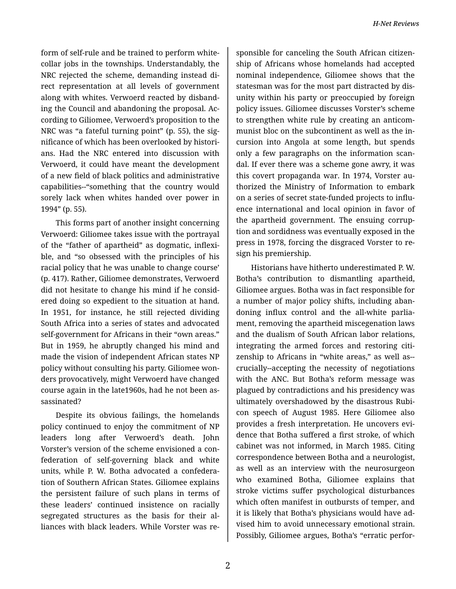form of self-rule and be trained to perform whitecollar jobs in the townships. Understandably, the NRC rejected the scheme, demanding instead di‐ rect representation at all levels of government along with whites. Verwoerd reacted by disband‐ ing the Council and abandoning the proposal. Ac‐ cording to Giliomee, Verwoerd's proposition to the NRC was "a fateful turning point" (p. 55), the sig‐ nificance of which has been overlooked by histori‐ ans. Had the NRC entered into discussion with Verwoerd, it could have meant the development of a new field of black politics and administrative capabilities--"something that the country would sorely lack when whites handed over power in 1994" (p. 55).

This forms part of another insight concerning Verwoerd: Giliomee takes issue with the portrayal of the "father of apartheid" as dogmatic, inflexi‐ ble, and "so obsessed with the principles of his racial policy that he was unable to change course' (p. 417). Rather, Giliomee demonstrates, Verwoerd did not hesitate to change his mind if he consid‐ ered doing so expedient to the situation at hand. In 1951, for instance, he still rejected dividing South Africa into a series of states and advocated self-government for Africans in their "own areas." But in 1959, he abruptly changed his mind and made the vision of independent African states NP policy without consulting his party. Giliomee won‐ ders provocatively, might Verwoerd have changed course again in the late1960s, had he not been as‐ sassinated?

Despite its obvious failings, the homelands policy continued to enjoy the commitment of NP leaders long after Verwoerd's death. John Vorster's version of the scheme envisioned a con‐ federation of self-governing black and white units, while P. W. Botha advocated a confedera‐ tion of Southern African States. Giliomee explains the persistent failure of such plans in terms of these leaders' continued insistence on racially segregated structures as the basis for their al‐ liances with black leaders. While Vorster was re‐

sponsible for canceling the South African citizen‐ ship of Africans whose homelands had accepted nominal independence, Giliomee shows that the statesman was for the most part distracted by dis‐ unity within his party or preoccupied by foreign policy issues. Giliomee discusses Vorster's scheme to strengthen white rule by creating an anticom‐ munist bloc on the subcontinent as well as the in‐ cursion into Angola at some length, but spends only a few paragraphs on the information scan‐ dal. If ever there was a scheme gone awry, it was this covert propaganda war. In 1974, Vorster au‐ thorized the Ministry of Information to embark on a series of secret state-funded projects to influ‐ ence international and local opinion in favor of the apartheid government. The ensuing corrup‐ tion and sordidness was eventually exposed in the press in 1978, forcing the disgraced Vorster to re‐ sign his premiership.

Historians have hitherto underestimated P. W. Botha's contribution to dismantling apartheid, Giliomee argues. Botha was in fact responsible for a number of major policy shifts, including aban‐ doning influx control and the all-white parlia‐ ment, removing the apartheid miscegenation laws and the dualism of South African labor relations, integrating the armed forces and restoring citi‐ zenship to Africans in "white areas," as well as- crucially--accepting the necessity of negotiations with the ANC. But Botha's reform message was plagued by contradictions and his presidency was ultimately overshadowed by the disastrous Rubi‐ con speech of August 1985. Here Giliomee also provides a fresh interpretation. He uncovers evi‐ dence that Botha suffered a first stroke, of which cabinet was not informed, in March 1985. Citing correspondence between Botha and a neurologist, as well as an interview with the neurosurgeon who examined Botha, Giliomee explains that stroke victims suffer psychological disturbances which often manifest in outbursts of temper, and it is likely that Botha's physicians would have ad‐ vised him to avoid unnecessary emotional strain. Possibly, Giliomee argues, Botha's "erratic perfor‐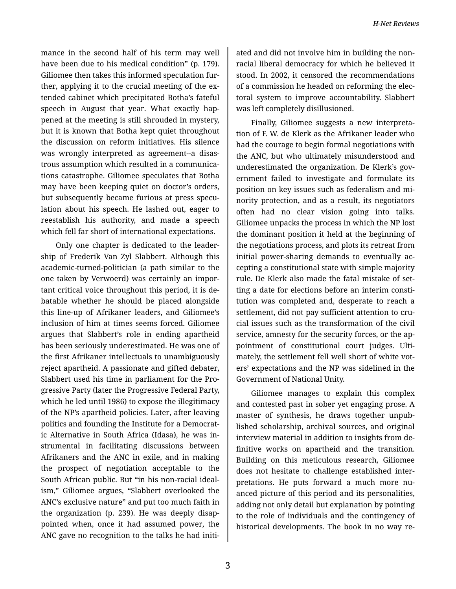mance in the second half of his term may well have been due to his medical condition" (p. 179). Giliomee then takes this informed speculation fur‐ ther, applying it to the crucial meeting of the ex‐ tended cabinet which precipitated Botha's fateful speech in August that year. What exactly hap‐ pened at the meeting is still shrouded in mystery, but it is known that Botha kept quiet throughout the discussion on reform initiatives. His silence was wrongly interpreted as agreement--a disas‐ trous assumption which resulted in a communica‐ tions catastrophe. Giliomee speculates that Botha may have been keeping quiet on doctor's orders, but subsequently became furious at press specu‐ lation about his speech. He lashed out, eager to reestablish his authority, and made a speech which fell far short of international expectations.

Only one chapter is dedicated to the leader‐ ship of Frederik Van Zyl Slabbert. Although this academic-turned-politician (a path similar to the one taken by Verwoerd) was certainly an impor‐ tant critical voice throughout this period, it is de‐ batable whether he should be placed alongside this line-up of Afrikaner leaders, and Giliomee's inclusion of him at times seems forced. Giliomee argues that Slabbert's role in ending apartheid has been seriously underestimated. He was one of the first Afrikaner intellectuals to unambiguously reject apartheid. A passionate and gifted debater, Slabbert used his time in parliament for the Pro‐ gressive Party (later the Progressive Federal Party, which he led until 1986) to expose the illegitimacy of the NP's apartheid policies. Later, after leaving politics and founding the Institute for a Democrat‐ ic Alternative in South Africa (Idasa), he was in‐ strumental in facilitating discussions between Afrikaners and the ANC in exile, and in making the prospect of negotiation acceptable to the South African public. But "in his non-racial ideal‐ ism," Giliomee argues, "Slabbert overlooked the ANC's exclusive nature" and put too much faith in the organization (p. 239). He was deeply disap‐ pointed when, once it had assumed power, the ANC gave no recognition to the talks he had initi‐

ated and did not involve him in building the non‐ racial liberal democracy for which he believed it stood. In 2002, it censored the recommendations of a commission he headed on reforming the elec‐ toral system to improve accountability. Slabbert was left completely disillusioned.

Finally, Giliomee suggests a new interpreta‐ tion of F. W. de Klerk as the Afrikaner leader who had the courage to begin formal negotiations with the ANC, but who ultimately misunderstood and underestimated the organization. De Klerk's government failed to investigate and formulate its position on key issues such as federalism and mi‐ nority protection, and as a result, its negotiators often had no clear vision going into talks. Giliomee unpacks the process in which the NP lost the dominant position it held at the beginning of the negotiations process, and plots its retreat from initial power-sharing demands to eventually ac‐ cepting a constitutional state with simple majority rule. De Klerk also made the fatal mistake of set‐ ting a date for elections before an interim consti‐ tution was completed and, desperate to reach a settlement, did not pay sufficient attention to crucial issues such as the transformation of the civil service, amnesty for the security forces, or the ap‐ pointment of constitutional court judges. Ulti‐ mately, the settlement fell well short of white vot‐ ers' expectations and the NP was sidelined in the Government of National Unity.

Giliomee manages to explain this complex and contested past in sober yet engaging prose. A master of synthesis, he draws together unpub‐ lished scholarship, archival sources, and original interview material in addition to insights from de‐ finitive works on apartheid and the transition. Building on this meticulous research, Giliomee does not hesitate to challenge established inter‐ pretations. He puts forward a much more nuanced picture of this period and its personalities, adding not only detail but explanation by pointing to the role of individuals and the contingency of historical developments. The book in no way re‐

3